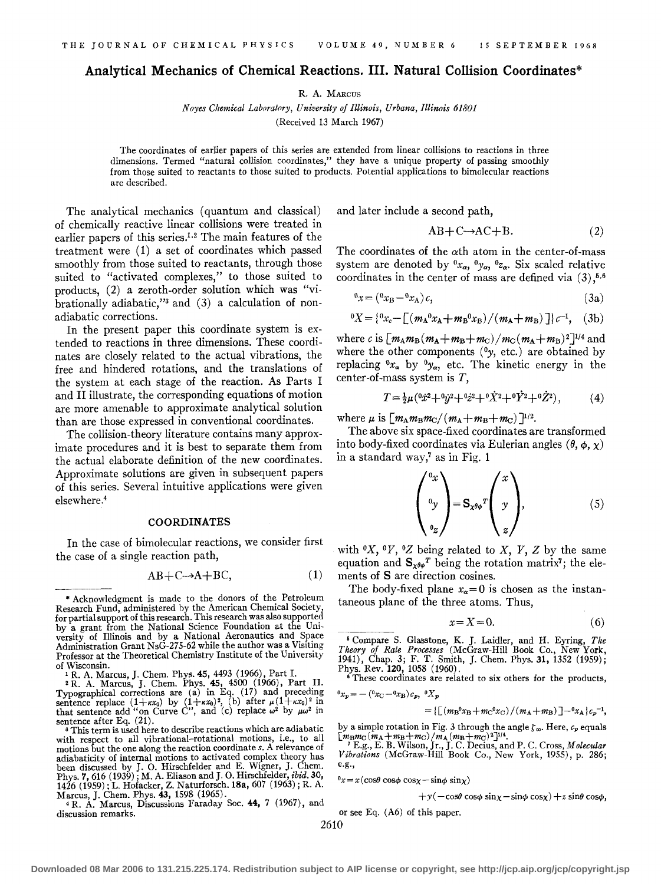# **Analytical Mechanics of Chemical Reactions.** III. **Natural Collision Coordinates\***

R. A. MARCUS

*Noyes Chemical Laboratory, University of Illinois, Urbana, Illinois 61801*  (Received 13 March 1967)

The coordinates of earlier papers of this series are extended from linear collisions to reactions in three dimensions. Termed "natural collision coordinates," they have a unique property of passing smoothly from those suited to reactants to those suited to products. Potential applications to bimolecular reactions are described.

The analytical mechanics (quantum and classical) of chemically reactive linear collisions were treated in earlier papers of this series.1• 2 The main features of the treatment were (1) a set of coordinates which passed smoothly from those suited to reactants, through those suited to "activated complexes," to those suited to products, (2) a zeroth-order solution which was "vibrationally adiabatic," $3$  and  $(3)$  a calculation of nonadiabatic corrections.

In the present paper this coordinate system is extended to reactions in three dimensions. These coordinates are closely related to the actual vibrations, the free and hindered rotations, and the translations of the system at each stage of the reaction. As Parts I and II illustrate, the corresponding equations of motion are more amenable to approximate analytical solution than are those expressed in conventional coordinates.

The collision-theory literature contains many approximate procedures and it is best to separate them from the actual elaborate definition of the new coordinates. Approximate solutions are given in subsequent papers of this series. Several intuitive applications were given elsewhere.4

#### COORDINATES

In the case of bimolecular reactions, we consider first the case of a single reaction path,

$$
AB + C \rightarrow A + BC,\tag{1}
$$

Marcus, J. Chem. Phys. 43, 1598 (1965).<br>4 R. A. Marcus, Discussions Faraday Soc. 44, 7 (1967), and  $^{4}$  R. Á. Marcus, Discussions Faraday Soc. 44, 7 (1967), and discussion remarks.

and later include a second path,

$$
AB + C \rightarrow AC + B. \tag{2}
$$

The coordinates of the  $\alpha$ th atom in the center-of-mass system are denoted by  ${}^0x_\alpha, {}^0y_\alpha, {}^0z_\alpha$ . Six scaled relative coordinates in the center of mass are defined via  $(3)$ ,<sup>5,6</sup>

$$
{}^{0}x = ({}^{0}x_{B} - {}^{0}x_{A})c,
$$
\n
$$
(3a)
$$

$$
{}^{0}X = \left\{ {}^{0}x_{c} - \left[ \left( m_{A} {}^{0}x_{A} + m_{B} {}^{0}x_{B} \right) / \left( m_{A} + m_{B} \right) \right] \right\} \, c^{-1}, \quad (3b)
$$

where c is  $\left[m_A m_B (m_A+m_B+m_C)/m_C (m_A+m_B)^2\right]^{1/4}$  and where the other components *(0y,* etc.) are obtained by replacing  ${}^0x_\alpha$  by  ${}^0y_\alpha$ , etc. The kinetic energy in the center-of-mass system is  $T$ ,

$$
T = \frac{1}{2}\mu ({}^{0}\dot{x}^{2} + {}^{0}\dot{y}^{2} + {}^{0}\dot{z}^{2} + {}^{0}\dot{X}^{2} + {}^{0}\dot{Y}^{2} + {}^{0}\dot{Z}^{2}),
$$
 (4)

where  $\mu$  is  $\left[m_{\rm A}m_{\rm B}m_{\rm C}/(m_{\rm A}+m_{\rm B}+m_{\rm C})\right]^{1/2}$ .

The above six space-fixed coordinates are transformed into body-fixed coordinates via Eulerian angles  $(\theta, \phi, \chi)$ in a standard way,7 as in Fig. **1** 

$$
\begin{pmatrix} \n\text{o}_x \\
\text{o}_y \\
\text{o}_z\n\end{pmatrix} = \mathbf{S}_{\mathbf{x}^{\theta\phi}}{}^T \begin{pmatrix} x \\
y \\
z \end{pmatrix},\tag{5}
$$

with  $\mathfrak{O}(X, \mathfrak{O}(Y))$  of  $Z$  being related to  $X, Y, Z$  by the same equation and  $S_{x^{\theta\phi}}^T$  being the rotation matrix<sup>7</sup>; the elements of S are direction cosines.

The body-fixed plane  $x_{\alpha}=0$  is chosen as the instantaneous plane of the three atoms. Thus,

$$
x = X = 0.\t\t(6)
$$

5 Compare S. Glasstone, K. J. Laidler, and H. Eyring, *The Theory of Rate Processes* (McGraw-Hill Book Co., New York, 1941), Chap. 3; F. T. Smith, J. Chern. Phys. 31, 1352 (1959);

Phys. Rev. 120, 1058 (1960).<br><sup>6</sup> These coordinates are related to six others for the products,  $^{0}x_{p}=-\left( ^{0}x_{\mathrm{C}}-^{0}x_{\mathrm{B}}\right) c_{p},\ ^{0}X_{p}$ 

$$
= \left\{ \left[ \left( m_{\rm B}{}^{0} x_{\rm B} + m_{\rm C}{}^{0} x_{\rm C} \right) / \left( m_{\rm A} + m_{\rm B} \right) \right] - {}^{0} x_{\rm A} \right\} c_{p}^{-1},
$$

by a simple rotation in Fig. 3 through the angle  $\zeta_{\infty}$ . Here,  $c_p$  equals

*[mBmc (mA +mB+mc) /mA* (mB+mc) 2] 11 4. 7 E.g., E. B. Wilson, Jr., J. C. Decius, and P. C. Cross, *Molecular Vibrations* (McGraw-Hill Book Co., New York, 1955), p. 286; e.g.,

 $0x = x(\cos\theta \cos\phi \cos\chi - \sin\phi \sin\chi)$ 

$$
+y(-\cos\theta\cos\phi\sin\chi-\sin\phi\cos\chi)+z\sin\theta\cos\phi,
$$

or see Eq. (A6) of this paper.

2610

<sup>\*</sup> Acknowledgment is made to the donors of the Petroleum Research Fund, administered by the American Chemical Society, for partial support of this research. This research was also supported by a grant from the National Science Foundation at the University of Illinois and by a National Aeronautics and Space Administration Grant NsG-275-62 while the author was a Visiting Professor at the Theoretical Chemistry Institute of the University of Wisconsin.

<sup>&</sup>lt;sup>1</sup> R. A. Marcus, J. Chem. Phys. **45**, 4493 (1966), Part I.<br><sup>2</sup> R. A. Marcus, J. Chem. Phys. **45**, 4500 (1966), Part II.<br>**Typographical corrections are (a) in Eq. (17) and preceding<br>sentence replace (1+** $\kappa x_0$ **) by (1+\k** sentence after Eq. (21).<br><sup>8</sup> This term is used here to describe reactions which are adiabatic

<sup>&</sup>lt;sup>3</sup> This term is used here to describe reactions which are adiabatic with respect to all vibrational-rotational motions, i.e., to all motions but the one along the reaction coordinate *s.* A relevance of adiabaticity of internal motions to activated complex theory has been discussed by J. 0. Hirschfelder and E. Wigner, J. Chern. Phys. 7, 616 (1939); M.A. Eliason and J. 0. Hirschfelder, *ibid.* 30, 1426 (1959); L. Hofacker, Z. Naturforsch. 18a, 607 (1963); R. A.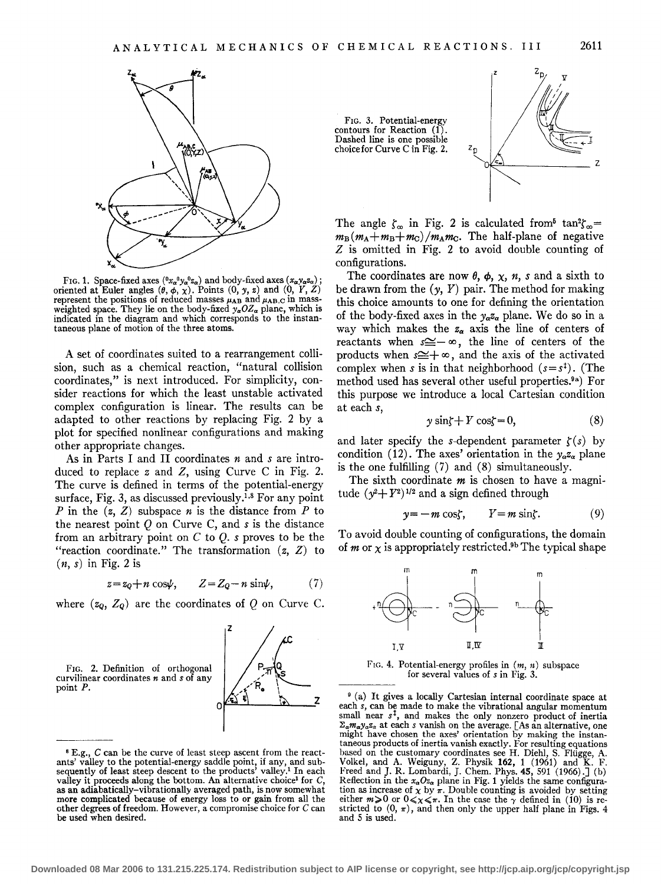

FIG. 1. Space-fixed axes  $(0x_a0y_a0z_a)$  and body-fixed axes  $(x_a0z_a)$ ; oriented at Euler angles  $(\theta, \phi, \chi)$ . Points  $(0, y, z)$  and  $(0, Y, Z)$ weighted space. They lie on the body-fixed  $y_{\alpha}OZ_{\alpha}$  plane, which is indicated in the diagram and which corresponds to the instantaneous plane of motion of the three atoms.

A set of coordinates suited to a rearrangement collision, such as a chemical reaction, "natural collision coordinates," is next introduced. For simplicity, consider reactions for which the least unstable activated complex configuration is linear. The results can be adapted to other reactions by replacing Fig. 2 by a plot for specified nonlinear configurations and making other appropriate changes.

As in Parts I and II coordinates *n* and *s* are introduced to replace *z* and Z, using Curve C in Fig. 2. The curve is defined in terms of the potential-energy surface, Fig. 3, as discussed previously.1• 8 For any point *P* in the  $(z, Z)$  subspace *n* is the distance from *P* to the nearest point Q on Curve C, and *s* is the distance from an arbitrary point on C to Q. *s* proves to be the "reaction coordinate." The transformation  $(z, Z)$  to  $(n, s)$  in Fig. 2 is

> $Z = Z_0 - n \sin \psi$  $z = z_Q + n \cos\psi$ , (7)

where  $(z_0, Z_0)$  are the coordinates of Q on Curve C.



<sup>8</sup> E.g., *C* can be the curve of least steep ascent from the react-ants' valley to the potential-energy saddle point, if any, and sub-sequently of least steep descent to the products' valley.1 In each valley it proceeds along the bottom. An alternative choice<sup>1</sup> for  $C$ , as an adiabatically-vibrationally averaged path, is now somewhat more complicated because of energy loss to or gain from all the other degrees of freedom. However, a compromise choice for *<sup>C</sup>*can be used when desired.





The angle  $\zeta_{\infty}$  in Fig. 2 is calculated from  $\tan^2 \zeta_{\infty} =$  $m_B (m_A + m_B + m_C) / m_A m_C$ . The half-plane of negative *Z* is omitted in Fig. 2 to avoid double counting of configurations.

The coordinates are now  $\theta$ ,  $\phi$ ,  $\chi$ ,  $n$ ,  $s$  and a sixth to be drawn from the  $(y, Y)$  pair. The method for making this choice amounts to one for defining the orientation of the body-fixed axes in the  $y_{\alpha}z_{\alpha}$  plane. We do so in a way which makes the  $z_{\alpha}$  axis the line of centers of reactants when  $s \approx -\infty$ , the line of centers of the products when  $s \leq +\infty$ , and the axis of the activated complex when *s* is in that neighborhood  $(s = s^{\ddagger})$ . (The method used has several other useful properties.9a) For this purpose we introduce a local Cartesian condition at each *s,* 

$$
y\sin\zeta + Y\cos\zeta = 0,\tag{8}
$$

and later specify the s-dependent parameter  $\zeta(s)$  by condition (12). The axes' orientation in the  $y_\alpha z_\alpha$  plane is the one fulfilling (7) and (8) simultaneously.

The sixth coordinate *m* is chosen to have a magnitude  $(y^2+Y^2)^{1/2}$  and a sign defined through

$$
y = -m\cos\zeta, \qquad Y = m\sin\zeta. \tag{9}
$$

To avoid double counting of configurations, the domain of *m* or  $\chi$  is appropriately restricted.<sup>9b</sup> The typical shape



FIG. 4. Potential-energy profiles in  $(m, n)$  subspace for several values of *s* in Fig. 3.

9 (a) It gives a locally Cartesian internal coordinate space at each *s,* can be made to make the vibrational angular momentum small near  $s^{\dagger}$ , and makes the only nonzero product of inertia  $\Sigma_{\alpha} m_{\alpha} y_{\alpha} z_{\alpha}$  at each s vanish on the average. [As an alternative, one might have chosen the axes' orientation by making the instantaneous products of inertia vanish exactly. For resulting equations based on the customary coordinates see H. Diehl, S. Fliigge, A. Volkel, and A. Weiguny, Z. Physik **162,** 1 (1961) and K. F. Freed and J. R. Lombardi, J. Chem. Phys. **45,** 591 (1966).] (b) Reflection in the  $x_{\alpha}Oz_{\alpha}$  plane in Fig. 1 yields the same configuration as increase of  $\chi$  by  $\pi$ . Double counting is avoided by setting either  $m \ge 0$  or  $0 \le \chi \le \pi$ . In the case the  $\gamma$  defined in (10) is restricted to  $(0, \pi)$ , and then only the upper half plane in Figs. 4 and 5 is used.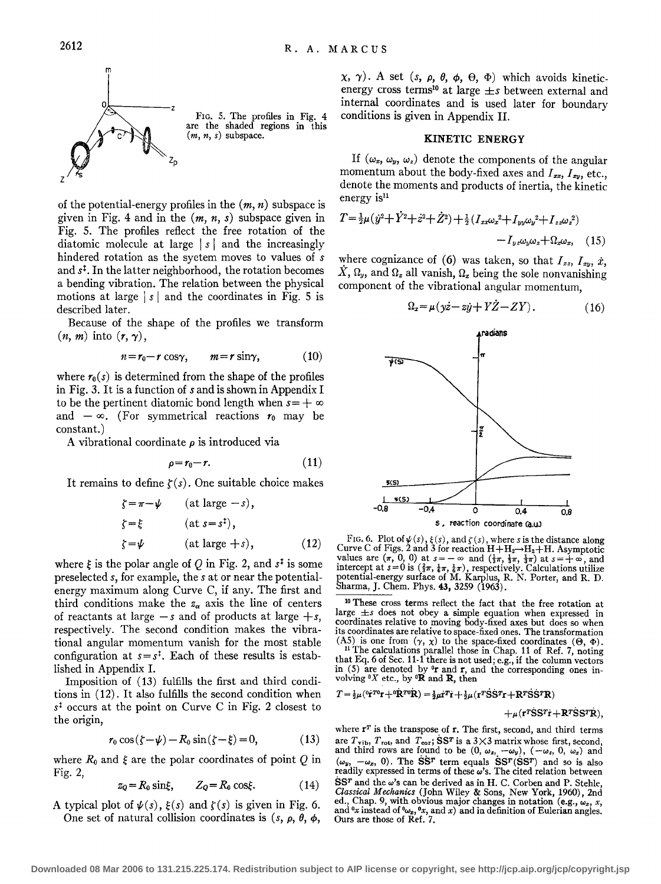

of the potential-energy profiles in the  $(m, n)$  subspace is given in Fig. 4 and in the *(m, n, s)* subspace given in Fig. 5. The profiles reflect the free rotation of the diatomic molecule at large | s | and the increasingly hindered rotation as the syetem moves to values of *s*  and *st.* In the latter neighborhood, the rotation becomes a bending vibration. The relation between the physical motions at large  $|s|$  and the coordinates in Fig. 5 is described later.

Because of the shape of the profiles we transform  $(n, m)$  into  $(r, \gamma)$ ,

$$
n = r_0 - r \cos \gamma, \qquad m = r \sin \gamma, \tag{10}
$$

where  $r_0(s)$  is determined from the shape of the profiles in Fig. 3. It is a function of sand is shown in Appendix I to be the pertinent diatomic bond length when  $s = +\infty$ and  $-\infty$ . (For symmetrical reactions  $r_0$  may be constant.)

A vibrational coordinate  $\rho$  is introduced via

$$
\rho = r_0 - r. \tag{11}
$$

It remains to define  $\zeta(s)$ . One suitable choice makes

$$
\zeta = \pi - \psi \qquad \text{(at large } -s),
$$
  

$$
\zeta = \xi \qquad \text{(at } s = s^{\ddagger}),
$$
  

$$
\zeta = \psi \qquad \text{(at large } +s), \qquad \text{(12)}
$$

where  $\xi$  is the polar angle of Q in Fig. 2, and  $s^{\ddagger}$  is some preselected *s,* for example, the sat or near the potentialenergy maximum along Curve C, if any. The first and third conditions make the  $z_{\alpha}$  axis the line of centers of reactants at large  $-s$  and of products at large  $+s$ , respectively. The second condition makes the vibrational angular momentum vanish for the most stable configuration at  $s=s^1$ . Each of these results is established in Appendix I.

Imposition of (13) fulfills the first and third conditions in (12). It also fulfills the second condition when *st* occurs at the point on Curve C in Fig. 2 closest to the origin,

$$
r_0 \cos(\zeta - \psi) - R_0 \sin(\zeta - \xi) = 0, \qquad (13)
$$

where  $R_0$  and  $\xi$  are the polar coordinates of point Q in Fig. 2,

$$
z_Q = R_0 \sin \xi, \qquad Z_Q = R_0 \cos \xi. \tag{14}
$$

A typical plot of  $\psi(s)$ ,  $\xi(s)$  and  $\zeta(s)$  is given in Fig. 6. One set of natural collision coordinates is  $(s, \rho, \theta, \phi, \phi)$ 

 $(x, \gamma)$ . A set  $(s, \rho, \theta, \phi, \Theta, \Phi)$  which avoids kineticenergy cross terms10 at large *±s* between external and internal coordinates and is used later for boundary conditions is given in Appendix II.

# KINETIC ENERGY

If  $(\omega_x, \omega_y, \omega_z)$  denote the components of the angular momentum about the body-fixed axes and  $I_{xx}$ ,  $I_{xy}$ , etc., denote the moments and products of inertia, the kinetic energy is<sup>11</sup>

$$
T = \frac{1}{2}\mu(\dot{y}^2 + \dot{Y}^2 + \dot{z}^2 + \dot{Z}^2) + \frac{1}{2}(I_{xx}\omega_x^2 + I_{yy}\omega_y^2 + I_{zz}\omega_z^2) - I_{yz}\omega_y\omega_z + \Omega_{x}\omega_x, \quad (15)
$$

where cognizance of (6) was taken, so that  $I_{xz}$ ,  $I_{xy}$ ,  $\dot{x}$ ,  $\hat{X}, \Omega_y$ , and  $\Omega_z$  all vanish,  $\Omega_x$  being the sole nonvanishing component of the vibrational angular momentum,

$$
\Omega_x = \mu(y\dot{z} - z\dot{y} + Y\dot{Z} - ZY). \tag{16}
$$



FIG. 6. Plot of  $\psi(s)$ ,  $\xi(s)$ , and  $\zeta(s)$ , where s is the distance along Curve C of Figs. 2 and 3 for reaction  $H + H_2 \rightarrow H_2 + H$ . Asymptotic values are  $(\pi, 0, 0)$  at  $s=-\infty$  and  $(\frac{1}{3}\pi, \frac{1}{3}\pi, \frac{1}{3}\pi)$  at  $s=+\infty$ , and intercept at  $s=0$  is  $(\frac{2}{3}\pi, \frac{1}{6}\pi, \frac{1}{6}\pi)$ , respectively. Calculations utilize potential-energy surface of M. Karplus, R. N. Porter, and R. D. Sharma, J. Chem. Phys. **43, 3**259 (1963).

10 These cross terms reflect the fact that the free rotation at large  $\pm s$  does not obey a simple equation when expressed in coordinates relative to moving body-fixed axes but does so when its coordinates are relative to space-fixed ones. The transformation (A5) is one from  $(\gamma, \chi)$  to the space-fixed coordinates ( $\Theta$ ,  $\Phi$ ).

<sup>11</sup> The calculations parallel those in Chap. 11 of Ref. 7, noting that Eq. 6 of Sec. 11-1 there is not used; e.g., if the column vectors in (5) are denoted by  $0r$  and  $r$ , and the corresponding ones involving *oX* etc., by •R and R, then

 $T = \frac{1}{2}\mu (0\dot{r}^{T0}r + 0\dot{R}^{T0}\dot{R}) = \frac{1}{2}\mu \dot{r}^{T}\dot{r} + \frac{1}{2}\mu (r^{T}\dot{S}\dot{S}^{T}r + R^{T}\dot{S}\dot{S}^{T}R)$ 

 $+\mu(r\text{rS}S^{T}r+R^{T}\text{S}S^{T}\text{R}).$ 

where  $r^T$  is the transpose of  $r$ . The first, second, and third terms are  $T_{\text{vib}}$ ,  $T_{\text{rot}}$ , and  $T_{\text{cor}}$ ; SST is a 3×3 matrix whose first, second, and third rows are found to be  $(0, \omega_z, -\omega_y)$ ,  $(-\omega_z, 0, \omega_z)$  and  $(\omega_y, -\omega_x, 0)$ . The SST term equals SST (SST) and so is also readily expressed in terms of these  $\omega$ 's. The cited relation between  $S$ ST and the  $\omega$ 's can be derived as in H. C. Corben and P. Stehle, *Classical Mechanics* (John Wiley & Sons, New York, 1960), 2nd ed., Chap. 9, with obvious major changes in notation (e.g.,  $\omega_z$ , *x*, and  $\alpha$  instead of  $\omega_x$ ,  $\alpha_x$ , and *x*) and in definition of Eulerian angles. Ours are those of Ref. 7.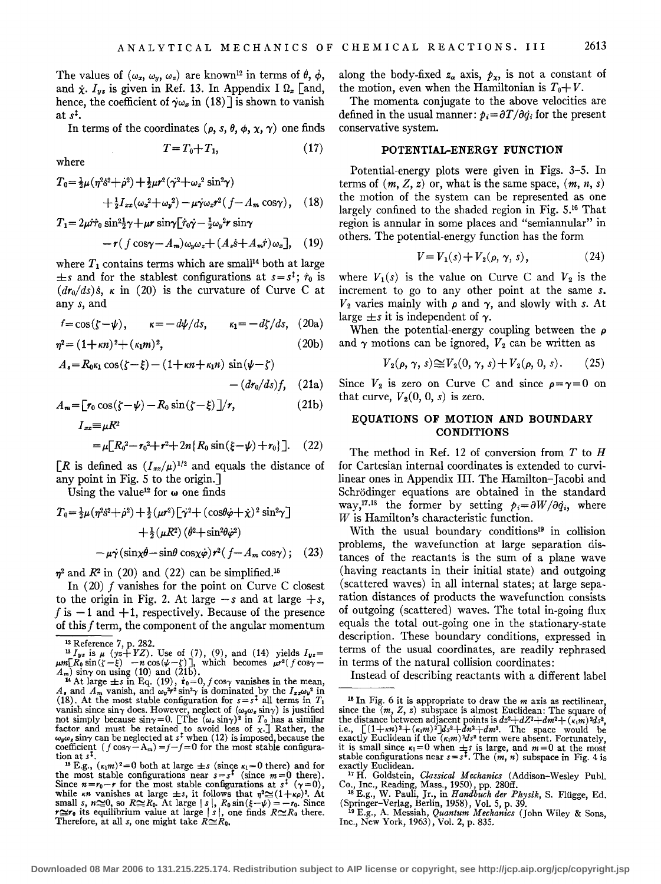The values of  $(\omega_x, \omega_y, \omega_z)$  are known<sup>12</sup> in terms of  $\dot{\theta}$ ,  $\dot{\phi}$ , and  $\dot{\chi}$ .  $I_{yz}$  is given in Ref. 13. In Appendix I  $\Omega_x$  [and, hence, the coefficient of  $\gamma \omega_x$  in (18)] is shown to vanish at *st.* 

In terms of the coordinates ( $\rho$ ,  $s$ ,  $\theta$ ,  $\phi$ ,  $\chi$ ,  $\gamma$ ) one finds

$$
T = T_0 + T_1,\tag{17}
$$

where

$$
T_0 = \frac{1}{2}\mu(\eta^2 \dot{s}^2 + \dot{\rho}^2) + \frac{1}{2}\mu r^2 (\dot{\gamma}^2 + \omega_z^2 \sin^2 \gamma) + \frac{1}{2} I_{xx} (\omega_z^2 + \omega_y^2) - \mu \dot{\gamma} \omega_z r^2 (f - A_m \cos \gamma), \quad (18)
$$

 $T_1 = 2\mu \dot{r} \dot{r}_0 \sin^2{\frac{1}{2}}\gamma + \mu r \sin{\sqrt{r_0}} \dot{r} - \frac{1}{2}\omega_v^2 r \sin{\gamma}$ 

$$
-r(f\cos\gamma - A_m)\omega_y\omega_z + (A_s \dot{s} + A_m \dot{r})\omega_x], \quad (19)
$$

where  $T_1$  contains terms which are small<sup>14</sup> both at large  $\pm s$  and for the stablest configurations at  $s = s^{\ddagger}$ ;  $\dot{r}_0$  is  $dr_0/ds$ )*s*,  $\kappa$  in (20) is the curvature of Curve C at any *s,* and

 $f = \cos(\zeta - \psi)$ ,  $\kappa = -d\psi/ds$ ,  $\kappa_1 = -d\zeta/ds$ , (20a)

$$
\eta^2 = (1 + \kappa n)^2 + (\kappa_1 m)^2, \tag{20b}
$$

$$
A_{s} = R_{0} \kappa_{1} \cos(\zeta - \xi) - (1 + \kappa n + \kappa_{1} n) \sin(\psi - \zeta) - (d r_{0}/ds) f, \quad (21a)
$$

$$
A_m = \left[r_0 \cos(\zeta - \psi) - R_0 \sin(\zeta - \xi)\right]/r,
$$
\n
$$
I_{xx} = \mu R^2
$$
\n(21b)

$$
= \mu [R_0^2 - r_0^2 + r^2 + 2n \{R_0 \sin(\xi - \psi) + r_0\}].
$$
 (22)

 $[R]$  is defined as  $(I_{xx}/\mu)^{1/2}$  and equals the distance of any point in Fig. 5 to the origin.]

Using the value<sup>12</sup> for  $\omega$  one finds

$$
T_0 = \frac{1}{2}\mu(\eta^2 \dot{s}^2 + \dot{\rho}^2) + \frac{1}{2}(\mu r^2) \left[\dot{\gamma}^2 + (\cos\theta \dot{\varphi} + \dot{\chi})^2 \sin^2 \gamma\right] + \frac{1}{2}(\mu R^2) (\dot{\theta}^2 + \sin^2 \theta \dot{\varphi}^2) - \mu \dot{\gamma} (\sin \chi \dot{\theta} - \sin \theta \cos \chi \dot{\varphi}) r^2 (f - A_m \cos \gamma); \quad (23)
$$

 $\eta^2$  and  $\mathbb{R}^2$  in (20) and (22) can be simplified.<sup>15</sup>

In (20) f vanishes for the point on Curve C closest to the origin in Fig. 2. At large  $-s$  and at large  $+s$ , f is  $-1$  and  $+1$ , respectively. Because of the presence of this f term, the component of the angular momentum

along the body-fixed  $z_\alpha$  axis,  $p_x$ , is not a constant of the motion, even when the Hamiltonian is  $T_0 + V$ .

The momenta conjugate to the above velocities are defined in the usual manner:  $p_i = \frac{\partial T}{\partial \dot{q}_i}$  for the present conservative system.

## **POTENTIAL-ENERGY FUNCTION**

Potential-energy plots were given in Figs. 3-5. In terms of  $(m, Z, z)$  or, what is the same space,  $(m, n, s)$ the motion of the system can be represented as one largely confined to the shaded region in Fig. 5.16 That region is annular in some places and "semiannular" in others. The potential-energy function has the form

$$
V = V_1(s) + V_2(\rho, \gamma, s), \qquad (24)
$$

where  $V_1(s)$  is the value on Curve C and  $V_2$  is the increment to go to any other point at the same *s.*   $V_2$  varies mainly with  $\rho$  and  $\gamma$ , and slowly with *s*. At large  $\pm s$  it is independent of  $\gamma$ .

When the potential-energy coupling between the *p*  and  $\gamma$  motions can be ignored,  $V_2$  can be written as

$$
V_2(\rho, \gamma, s) \cong V_2(0, \gamma, s) + V_2(\rho, 0, s). \tag{25}
$$

Since  $V_2$  is zero on Curve C and since  $\rho = \gamma = 0$  on that curve,  $V_2(0, 0, s)$  is zero.

# **EQUATIONS OF MOTION AND BOUNDARY CONDITIONS**

The method in Ref. 12 of conversion from  $T$  to  $H$ for Cartesian internal coordinates is extended to curvilinear ones in Appendix III. The Hamilton-Jacobi and Schrodinger equations are obtained in the standard way,<sup>17,18</sup> the former by setting  $p_i = \partial W / \partial \dot{q_i}$ , where *W* is Hamilton's characteristic function.

With the usual boundary conditions<sup>19</sup> in collision problems, the wavefunction at large separation distances of the reactants is the sum of a plane wave (having reactants in their initial state) and outgoing (scattered waves) in all internal states; at large separation distances of products the wavefunction consists of outgoing (scattered) waves. The total in-going flux equals the total out-going one in the stationary-state description. These boundary conditions, expressed in terms of the usual coordinates, are readily rephrased in terms of the natural collision coordinates:

Instead of describing reactants with a different label

<sup>&</sup>lt;sup>12</sup> Reference 7, p. 282. Use of (7), (9), and (14) yields  $I_{yz} = \mu m [R_0 \sin(\zeta - \xi) - n \cos(\psi - \xi)]$ , which becomes  $\mu r^2 (f \cos \gamma - \xi)$ 

 $A_m$ ) sin $\gamma$  on using (10) and (21b).<br><sup>14</sup> At large  $\pm$ s in Eq. (19),  $\dot{\mathbf{r}}_0$ =0, f cos $\gamma$  vanishes in the mean, *A*, and *A<sub>m</sub>* vanish, and  $\omega_y^2 r^2 \sin^2 \gamma$  is dominated by the  $I_{xx}\omega_y^2$  in (18). At the most stable configuration for  $s=s^{\frac{1}{2}}$  all terms in *T<sub>1</sub>* vanish since  $\sin \gamma$  does. However, neglect of  $(\omega_y \omega_z \sin \gamma)$  is justified not simply because  $\sin \gamma = 0$ . [The  $(\omega_z \sin \gamma)^2$  in  $T_0$  has a similar factor and must be retained to avoid loss of  $\chi$ . Rather, the  $\omega_{\nu}\omega_z \sin\gamma$  can be neglected at  $s^{\ddagger}$  when (12) is imposed, because the coefficient ( $f \cos\gamma - A_m$ ) =  $f - f = 0$  for the most stable configura-

tion at  $s^{\dagger}$ .<br>
<sup>15</sup> E.g.,  $(\kappa_1 m)^2 = 0$  both at large  $\pm s$  (since  $\kappa_1 = 0$  there) and for<br>
the most stable configurations near  $s = s^{\dagger}$  (since  $m = 0$  there).<br>
Since  $n = r_0 - r$  for the most stable configurations at

<sup>16</sup> In Fig. 6 it is appropriate to draw the *m* axis as rectilinear, since the  $(m, Z, z)$  subspace is almost Euclidean: The square of the distance between adjacent points is  $dz^2 + dZ^2 + dm^2 + (\kappa_1 m)^2 ds^2$ ,<br>i.e.,  $[(1+\kappa n)^2 + (\kappa_1 m)^2]ds^2 + dn^2 + dm^2$ . The space would be<br>exactly Euclidean if the  $(\kappa_1 m)^2 ds^2$  term were absent. Fortunately,<br>it is small since  $\kappa_1 =$ 

exactly Euclidean. 17 H. Goldstein, *Classical Mechanics* (Addison-Wesley Pub!.

Co., Inc., Reading, Mass., 1950), pp. 280ff.<br><sup>18</sup> E.g., W. Pauli, Jr., in *Handbuch der Physik*, S. Flügge, Ed. (Springer-Verlag, Berlin, 1958), Vol. 5, p. 39.<br><sup>19</sup> E.g., A. Messiah, Quantum Mechanics (John Wiley & Sons,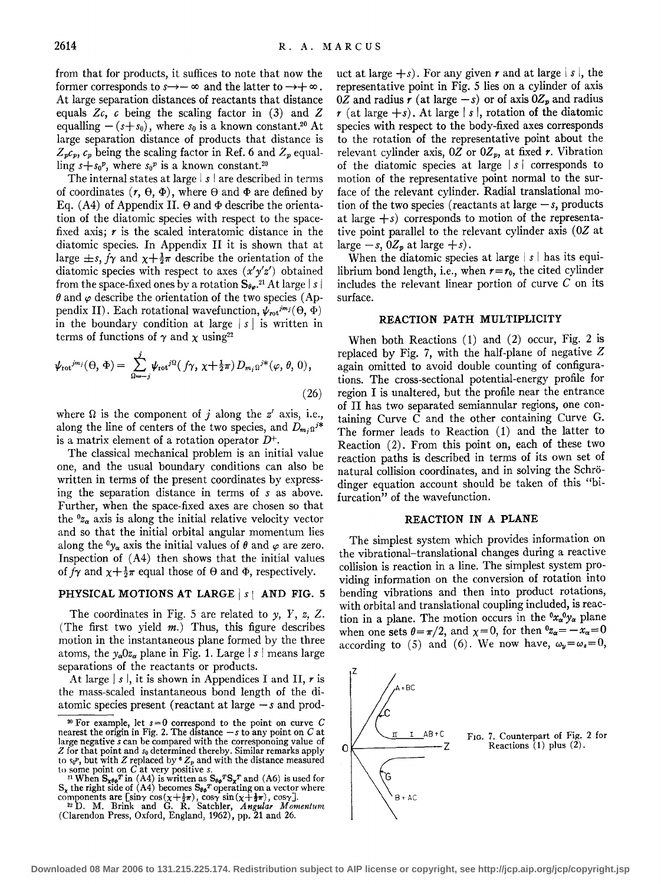from that for products, it suffices to note that now the former corresponds to  $s \rightarrow -\infty$  and the latter to  $\rightarrow +\infty$ . At large separation distances of reactants that distance equals *Zc, c* being the scaling factor in (3) and *Z*  equalling  $-(s+s_0)$ , where  $s_0$  is a known constant.<sup>20</sup> At large separation distance of products that distance is  $Z_p c_p$ ,  $c_p$  being the scaling factor in Ref. 6 and  $Z_p$  equalling  $s + s_0^p$ , where  $s_0^p$  is a known constant.<sup>20</sup>

The internal states at large  $|s|$  are described in terms of coordinates  $(r, \theta, \Phi)$ , where  $\theta$  and  $\Phi$  are defined by Eq. (A4) of Appendix II.  $\Theta$  and  $\Phi$  describe the orientation of the diatomic species with respect to the spacefixed axis; *r* is the scaled interatomic distance in the diatomic species. In Appendix II it is shown that at large  $\pm s$ ,  $f\gamma$  and  $\chi + \frac{1}{2}\pi$  describe the orientation of the diatomic species with respect to axes *(x'y'z')* obtained from the space-fixed ones by a rotation  $S_{\theta\varphi}$ .<sup>21</sup> At large | s |  $\theta$  and  $\varphi$  describe the orientation of the two species (Appendix II). Each rotational wavefunction,  $\psi_{\rm rot}^{j m_j}(\Theta, \Phi)$ in the boundary condition at large  $|s|$  is written in terms of functions of  $\gamma$  and  $\chi$  using<sup>22</sup>

$$
\psi_{\text{rot}}^{jm_j}(\Theta,\,\Phi) = \sum_{\Omega=-j}^{j} \psi_{\text{rot}}^{j\Omega}(\,f\gamma,\,\chi+\tfrac{1}{2}\pi)\,D_{m_j\Omega}^{j*}(\varphi,\,\theta,\,0)\,,\tag{26}
$$

where  $\Omega$  is the component of j along the  $z'$  axis, i.e., along the line of centers of the two species, and  $D_{m_i,0}$ <sup>*i*\*</sup> is a matrix element of a rotation operator  $D^+$ .

The classical mechanical problem is an initial value one, and the usual boundary conditions can also be written in terms of the present coordinates by expressing the separation distance in terms of *s* as above. Further, when the space-fixed axes are chosen so that the *<sup>0</sup> za* axis is along the initial relative velocity vector and so that the initial orbital angular momentum lies along the  ${}^0\gamma_\alpha$  axis the initial values of  $\theta$  and  $\varphi$  are zero. Inspection of (A4) then shows that the initial values of  $f\gamma$  and  $\gamma + \frac{1}{2}\pi$  equal those of  $\Theta$  and  $\Phi$ , respectively.

# PHYSICAL MOTIONS AT LARGE  $|s|$  and FIG. 5

The coordinates in Fig. 5 are related to *y,* Y, *z,* Z. (The first two yield  $m$ .) Thus, this figure describes motion in the instantaneous plane formed by the three atoms, the  $v_a0z_a$  plane in Fig. 1. Large | s | means large separations of the reactants or products.

At large  $|s|$ , it is shown in Appendices I and II, r is the mass-scaled instantaneous bond length of the diatomic species present (reactant at large  $-s$  and product at large  $+s$ ). For any given r and at large  $|s|$ , the representative point in Fig. 5 lies on a cylinder of axis *OZ* and radius *r* (at large  $-s$ ) or of axis  $0Z_p$  and radius  $r$  (at large  $+s$ ). At large  $|s|$ , rotation of the diatomic species with respect to the body-fixed axes corresponds to the rotation of the representative point about the relevant cylinder axis,  $0Z$  or  $0Z_p$ , at fixed *r*. Vibration of the diatomic species at large I *s* I corresponds to motion of the representative point normal to the surface of the relevant cylinder. Radial translational motion of the two species (reactants at large  $-s$ , products at large  $+s$ ) corresponds to motion of the representative point parallel to the relevant cylinder axis *(OZ* at large  $-s$ ,  $0Z_p$  at large  $+s$ ).

When the diatomic species at large | s | has its equilibrium bond length, i.e., when  $r=r_0$ , the cited cylinder includes the relevant linear portion of curve  $C$  on its surface.

# REACTION PATH MULTIPLICITY

When both Reactions (1) and (2) occur, Fig. 2 is replaced by Fig. 7, with the half-plane of negative *Z*  again omitted to avoid double counting of configurations. The cross-sectional potential-energy profile for region I is unaltered, but the profile near the entrance of II has two separated semiannular regions, one containing Curve C and the other containing Curve G. The former leads to Reaction (1) and the latter to Reaction (2). From this point on, each of these two reaction paths is described in terms of its own set of natural collision coordinates, and in solving the Schrodinger equation account should be taken of this "bifurcation" of the wavefunction.

# REACTION IN A PLANE

The simplest system which provides information on the vibrational-translational changes during a reactive collision is reaction in a line. The simplest system providing information on the conversion of rotation into bending vibrations and then into product rotations, with orbital and translational coupling included, is reaction in a plane. The motion occurs in the  ${}^0x_{\alpha}{}^0y_{\alpha}$  plane when one sets  $\theta = \pi/2$ , and  $\chi = 0$ , for then  $^0z_\alpha = -x_\alpha = 0$ according to (5) and (6). We now have,  $\omega_y = \omega_z = 0$ ,



<sup>20</sup> For example, let *s=O* correspond to the point on curve *C*  nearest the origin in Fig. 2. The distance *-s* to any point on Cat large negative s can be compared with the corresponoing value of Z for that point and *s0* determined thereby. Similar remarks apply to  $s_0^p$ , but with *Z* replaced by  ${}^6Z_p$  and with the distance measured to some point on *C* at very positive *s*.

to some point on C at very positive s.<br><sup>21</sup> When  $S_{x\theta x}^T$  in (A4) is written as  $S_{\theta y}^T S_x^T$  and (A6) is used for  $S_x$  the right side of (A4) becomes  $S_{\theta y}^T$  operating on a vector where components are [sin $\gamma$  cos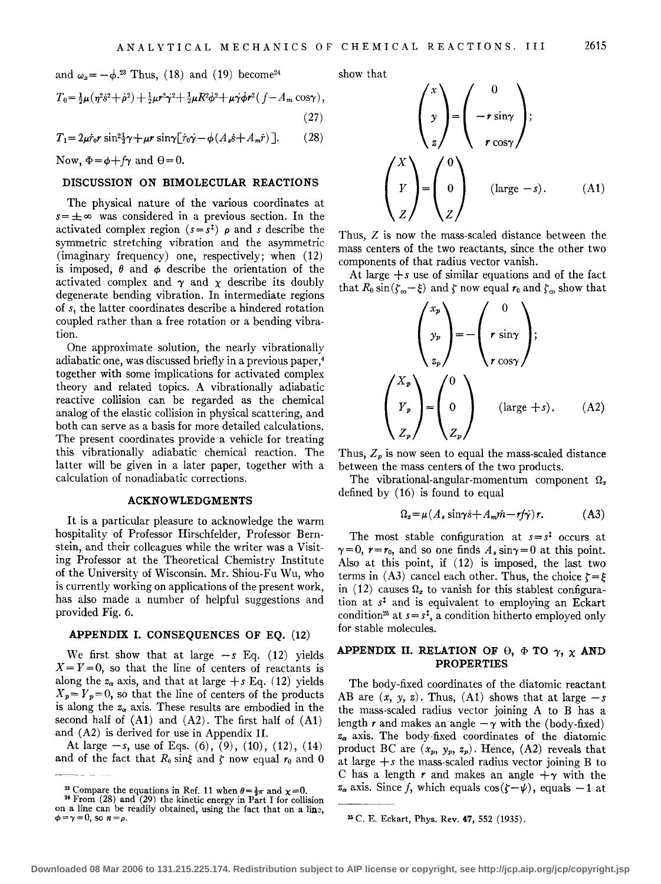and  $\omega_x = -\dot{\phi}^{23}$  Thus, (18) and (19) become<sup>24</sup>

$$
T_0 = \frac{1}{2}\mu(\eta^2 \dot{s}^2 + \dot{\rho}^2) + \frac{1}{2}\mu r^2 \dot{\gamma}^2 + \frac{1}{2}\mu R^2 \dot{\phi}^2 + \mu \dot{\gamma} \dot{\phi} r^2 (f - A_m \cos \gamma),
$$
\n(27)

$$
T_1 = 2\mu \dot{r}_0 r \sin^2 \frac{1}{2} \gamma + \mu r \sin \gamma \left[ \dot{r}_0 \dot{\gamma} - \dot{\phi} (A_s \dot{s} + A_m \dot{r}) \right]. \tag{28}
$$

Now,  $\Phi = \phi + f\gamma$  and  $\theta = 0$ .

#### DISCUSSION ON BIMOLECULAR REACTIONS

The physical nature of the various coordinates at  $s = \pm \infty$  was considered in a previous section. In the activated complex region  $(s=s^{\dagger})$   $\rho$  and *s* describe the symmetric stretching vibration and the asymmetric (imaginary frequency) one, respectively; when (12) is imposed,  $\theta$  and  $\phi$  describe the orientation of the activated complex and  $\gamma$  and  $\chi$  describe its doubly degenerate bending vibration. In intermediate regions of *s,* the latter coordinates describe a hindered rotation coupled rather than a free rotation or a bending vibration.

One approximate solution, the nearly vibrationally adiabatic one, was discussed briefly in a previous paper,4 together with some implications for activated complex theory and related topics. A vibrationally adiabatic reactive collision can be regarded as the chemical analog of the elastic collision in physical scattering, and both can serve as a basis for more detailed calculations. The present coordinates provide a vehicle for treating this vibrationally adiabatic chemical reaction. The latter will be given in a later paper, together with a calculation of nonadiabatic corrections.

## ACKNOWLEDGMENTS

It is a particular pleasure to acknowledge the warm hospitality of Professor Hirschfelder, Professor Bernstein, and their colleagues while the writer was a Visiting Professor at the Theoretical Chemistry Institute of the University of Wisconsin. Mr. Shiou-Fu Wu, who is currently working on applications of the present work, has also made a number of helpful suggestions and provided Fig. 6.

# APPENDIX I. CONSEQUENCES OF EO. (12)

We first show that at large  $-s$  Eq.  $(12)$  yields  $X = Y = 0$ , so that the line of centers of reactants is along the  $z_{\alpha}$  axis, and that at large  $+s$  Eq. (12) yields  $X_p = Y_p = 0$ , so that the line of centers of the products is along the  $z_{\alpha}$  axis. These results are embodied in the second half of  $(A1)$  and  $(A2)$ . The first half of  $(A1)$ and (A2) is derived for use in Appendix II.

At large  $-s$ , use of Eqs.  $(6)$ ,  $(9)$ ,  $(10)$ ,  $(12)$ ,  $(14)$ and of the fact that  $R_0$  sing and  $\zeta$  now equal  $r_0$  and 0 show that

$$
\begin{pmatrix} x \\ y \\ z \end{pmatrix} = \begin{pmatrix} 0 \\ -r \sin \gamma \\ r \cos \gamma \end{pmatrix};
$$
\n
$$
\begin{pmatrix} X \\ Y \\ Z \end{pmatrix} = \begin{pmatrix} 0 \\ 0 \\ Z \end{pmatrix} \text{ (large } -s). \qquad (A1)
$$

Thus, *Z* is now the mass-scaled distance between the mass centers of the two reactants, since the other two components of that radius vector vanish.

At large *+s* use of similar equations and of the fact that  $R_0 \sin(\zeta_{\infty} - \xi)$  and  $\zeta$  now equal  $r_0$  and  $\zeta_{\infty}$  show that

$$
\begin{pmatrix} x_p \\ y_p \\ z_p \end{pmatrix} = - \begin{pmatrix} 0 \\ r \sin \gamma \\ r \cos \gamma \end{pmatrix};
$$
\n
$$
\begin{pmatrix} X_p \\ Y_p \\ Z_p \end{pmatrix} = \begin{pmatrix} 0 \\ 0 \\ Z_p \end{pmatrix} \quad (\text{large } +s). \quad (A2)
$$

Thus,  $Z_p$  is now seen to equal the mass-scaled distance between the mass centers of the two products.

The vibrational-angular-momentum component  $\Omega$ <sub>r</sub> defined by ( 16) is found to equal

$$
\Omega_x = \mu(A_s \sin\gamma \dot{s} + A_m \dot{m} - r f \dot{\gamma}) r. \tag{A3}
$$

The most stable configuration at  $s = s^t$  occurs at  $\gamma=0$ ,  $r=r_0$ , and so one finds  $A_s \sin\gamma=0$  at this point. Also at this point, if ( 12) is imposed, the last two terms in (A3) cancel each other. Thus, the choice  $\zeta = \xi$ in (12) causes  $\Omega_x$  to vanish for this stablest configuration at  $s<sup>‡</sup>$  and is equivalent to employing an Eckart condition<sup>25</sup> at  $s = s^{\ddagger}$ , a condition hitherto employed only for stable molecules.

# APPENDIX II. RELATION OF  $\theta$ ,  $\Phi$  TO  $\gamma$ ,  $\chi$  AND PROPERTIES

The body-fixed coordinates of the diatomic reactant AB are  $(x, y, z)$ . Thus,  $(A1)$  shows that at large  $-s$ the mass-scaled radius vector joining A to B has a length r and makes an angle  $-\gamma$  with the (body-fixed) *Za* axis. The body-fixed coordinates of the diatomic product BC are  $(x_p, y_p, z_p)$ . Hence,  $(A2)$  reveals that at large  $+s$  the mass-scaled radius vector joining  $B$  to C has a length *r* and makes an angle  $+\gamma$  with the  $z_{\alpha}$  axis. Since f, which equals  $\cos(\zeta-\psi)$ , equals  $-1$  at

<sup>&</sup>lt;sup>23</sup> Compare the equations in Ref. 11 when  $\theta = \frac{1}{2}\pi$  and  $\chi = 0$ .<br><sup>24</sup> From (28) and (29) the kinetic energy in Part I for collision

on a line can be readily obtained, using the fact that on a line,  $\phi = \gamma = 0$ , so  $n = \rho$ .

<sup>25</sup> C. E. Eckart, Phys. Rev. 47, 552 (1935).